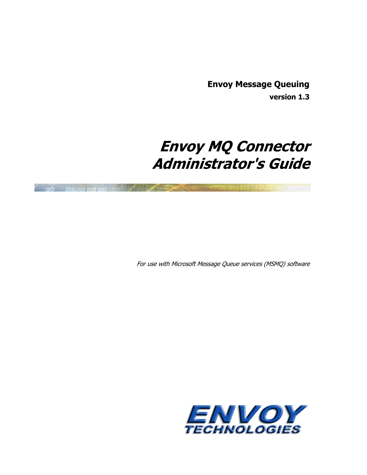**Envoy Message Queuing version 1.3** 

# **Envoy MQ Connector Administrator's Guide**

二Decano40 456567811323 14

For use with Microsoft Message Queue services (MSMQ) software

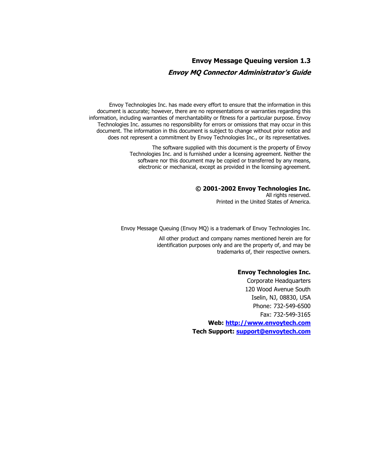## **Envoy Message Queuing version 1.3 Envoy MQ Connector Administrator's Guide**

Envoy Technologies Inc. has made every effort to ensure that the information in this document is accurate; however, there are no representations or warranties regarding this information, including warranties of merchantability or fitness for a particular purpose. Envoy Technologies Inc. assumes no responsibility for errors or omissions that may occur in this document. The information in this document is subject to change without prior notice and does not represent a commitment by Envoy Technologies Inc., or its representatives.

> The software supplied with this document is the property of Envoy Technologies Inc. and is furnished under a licensing agreement. Neither the software nor this document may be copied or transferred by any means, electronic or mechanical, except as provided in the licensing agreement.

#### **© 2001-2002 Envoy Technologies Inc.**

All rights reserved. Printed in the United States of America.

Envoy Message Queuing (Envoy MQ) is a trademark of Envoy Technologies Inc.

All other product and company names mentioned herein are for identification purposes only and are the property of, and may be trademarks of, their respective owners.

#### **Envoy Technologies Inc.**

Corporate Headquarters 120 Wood Avenue South Iselin, NJ, 08830, USA Phone: 732-549-6500 Fax: 732-549-3165 **Web: [http://www.envoytech.com](http://www.envoytech.com/) Tech Support: [support@envoytech.com](mailto:support@envoytech.com)**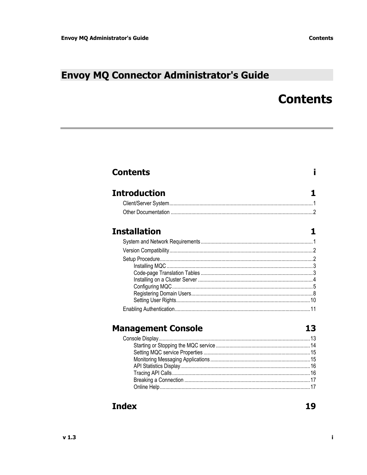**Contents** 

# <span id="page-2-0"></span>**Envoy MQ Connector Administrator's Guide**

# **Contents**

i

| <b>Introduction</b><br><b>Installation</b> |  |
|--------------------------------------------|--|
|                                            |  |
|                                            |  |
|                                            |  |
|                                            |  |
|                                            |  |
|                                            |  |
|                                            |  |
|                                            |  |
|                                            |  |
|                                            |  |
|                                            |  |
|                                            |  |
|                                            |  |
| <b>Management Console</b><br>13            |  |
|                                            |  |
|                                            |  |
|                                            |  |
|                                            |  |
|                                            |  |
|                                            |  |
|                                            |  |

## **Index**

19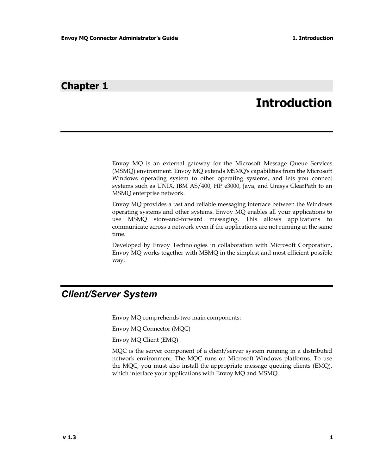## <span id="page-4-0"></span>**Chapter 1**

# **Introduction**

Envoy MQ is an external gateway for the Microsoft Message Queue Services (MSMQ) environment. Envoy MQ extends MSMQ's capabilities from the Microsoft Windows operating system to other operating systems, and lets you connect systems such as UNIX, IBM AS/400, HP e3000, Java, and Unisys ClearPath to an MSMQ enterprise network.

Envoy MQ provides a fast and reliable messaging interface between the Windows operating systems and other systems. Envoy MQ enables all your applications to use MSMQ store-and-forward messaging. This allows applications to communicate across a network even if the applications are not running at the same time.

Developed by Envoy Technologies in collaboration with Microsoft Corporation, Envoy MQ works together with MSMQ in the simplest and most efficient possible way.

## *Client/Server System*

Envoy MQ comprehends two main components:

Envoy MQ Connector (MQC)

Envoy MQ Client (EMQ)

MQC is the server component of a client/server system running in a distributed network environment. The MQC runs on Microsoft Windows platforms. To use the MQC, you must also install the appropriate message queuing clients (EMQ), which interface your applications with Envoy MQ and MSMQ.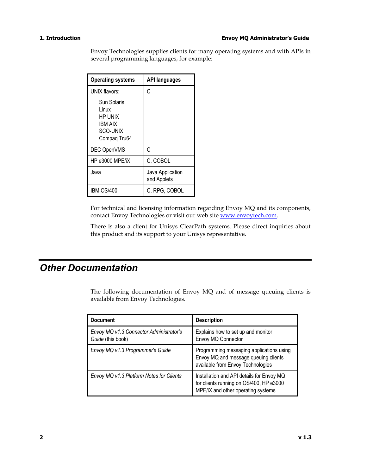#### <span id="page-5-0"></span>**1. Introduction Envoy MQ Administrator's Guide**

Envoy Technologies supplies clients for many operating systems and with APIs in several programming languages, for example:

| <b>Operating systems</b>                                               | <b>API languages</b>            |
|------------------------------------------------------------------------|---------------------------------|
| UNIX flavors:                                                          | C                               |
| Sun Solaris<br>Linux<br>HP UNIX<br>IBM AIX<br>SCO-UNIX<br>Compaq Tru64 |                                 |
| DEC OpenVMS                                                            | C                               |
| HP e3000 MPE/iX                                                        | C, COBOL                        |
| Java                                                                   | Java Application<br>and Applets |
| <b>IBM OS/400</b>                                                      | C, RPG, COBOL                   |

For technical and licensing information regarding Envoy MQ and its components, contact Envoy Technologies or visit our web site [www.envoytech.com.](http://www.envoytech.com/)

There is also a client for Unisys ClearPath systems. Please direct inquiries about this product and its support to your Unisys representative.

## *Other Documentation*

The following documentation of Envoy MQ and of message queuing clients is available from Envoy Technologies.

| <b>Document</b>                                              | <b>Description</b>                                                                                                         |
|--------------------------------------------------------------|----------------------------------------------------------------------------------------------------------------------------|
| Envoy MQ v1.3 Connector Administrator's<br>Guide (this book) | Explains how to set up and monitor<br>Envoy MQ Connector                                                                   |
| Envoy MQ v1.3 Programmer's Guide                             | Programming messaging applications using<br>Envoy MQ and message queuing clients<br>available from Envoy Technologies      |
| Envoy MQ v1.3 Platform Notes for Clients                     | Installation and API details for Envoy MQ<br>for clients running on OS/400, HP e3000<br>MPE/iX and other operating systems |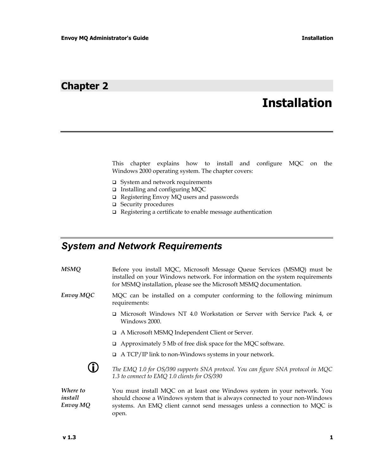## <span id="page-6-0"></span>**Chapter 2**

# **Installation**

This chapter explains how to install and configure MQC on the Windows 2000 operating system. The chapter covers:

- System and network requirements
- $\Box$  Installing and configuring MQC
- Registering Envoy MQ users and passwords
- □ Security procedures
- $\Box$  Registering a certificate to enable message authentication

## *System and Network Requirements*

*MSMQ* Before you install MQC, Microsoft Message Queue Services (MSMQ) must be installed on your Windows network. For information on the system requirements for MSMQ installation, please see the Microsoft MSMQ documentation.

- *Envoy MQC* MQC can be installed on a computer conforming to the following minimum requirements:
	- Microsoft Windows NT 4.0 Workstation or Server with Service Pack 4, or Windows 2000.
	- A Microsoft MSMQ Independent Client or Server.
	- $\Box$  Approximately 5 Mb of free disk space for the MQC software.
	- $\Box$  A TCP/IP link to non-Windows systems in your network.



**CD** The EMQ 1.0 for OS/390 supports SNA protocol. You can figure SNA protocol in MQC *1.3 to connect to EMQ 1.0 clients for OS/390*

*Where to install Envoy MQ*  You must install MQC on at least one Windows system in your network. You should choose a Windows system that is always connected to your non-Windows systems. An EMQ client cannot send messages unless a connection to MQC is open.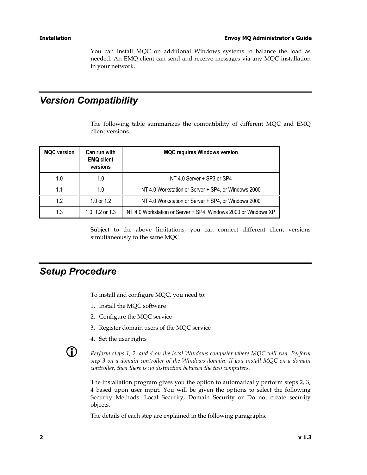<span id="page-7-0"></span>You can install MQC on additional Windows systems to balance the load as needed. An EMQ client can send and receive messages via any MQC installation in your network.

## *Version Compatibility*

The following table summarizes the compatibility of different MQC and EMQ client versions.

| <b>MQC</b> version | Can run with<br><b>EMQ client</b><br>versions | <b>MQC requires Windows version</b>                            |
|--------------------|-----------------------------------------------|----------------------------------------------------------------|
| 1.0                | 1.0                                           | NT 4.0 Server + SP3 or SP4                                     |
| 1.1                | 1.0                                           | NT 4.0 Workstation or Server + SP4, or Windows 2000            |
| 1.2                | 1.0 or 1.2                                    | NT 4.0 Workstation or Server + SP4, or Windows 2000            |
| 1.3                | 1.0, 1.2 or 1.3                               | NT 4.0 Workstation or Server + SP4, Windows 2000 or Windows XP |

Subject to the above limitations, you can connect different client versions simultaneously to the same MQC.

## *Setup Procedure*

To install and configure MQC, you need to:

- 1. Install the MQC software
- 2. Configure the MQC service
- 3. Register domain users of the MQC service
- 4. Set the user rights



L *Perform steps 1, 2, and 4 on the local Windows computer where MQC will run. Perform step 3 on a domain controller of the Windows domain. If you install MQC on a domain controller, then there is no distinction between the two computers.* 

The installation program gives you the option to automatically perform steps 2, 3, 4 based upon user input. You will be given the options to select the following Security Methods: Local Security, Domain Security or Do not create security objects.

The details of each step are explained in the following paragraphs.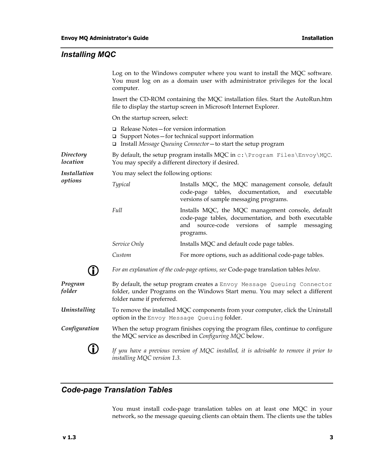#### <span id="page-8-0"></span>*Installing MQC*

Log on to the Windows computer where you want to install the MQC software. You must log on as a domain user with administrator privileges for the local computer.

Insert the CD-ROM containing the MQC installation files. Start the AutoRun.htm file to display the startup screen in Microsoft Internet Explorer.

On the startup screen, select:

- Release Notes—for version information
- $\Box$  Support Notes for technical support information
- Install *Message Queuing Connector*—to start the setup program

*Directory location*  By default, the setup program installs MQC in c: \Program Files\Envoy\MQC. You may specify a different directory if desired.

*Installation* You may select the following options:

| Typical | Installs MQC, the MQC management console, default |
|---------|---------------------------------------------------|
|         | code-page tables, documentation, and executable   |
|         | versions of sample messaging programs.            |
| Full    | Installs MQC, the MQC management console, default |

- code-page tables, documentation, and both executable and source-code versions of sample messaging programs.
- *Service Only* Installs MQC and default code page tables.
- *Custom* **For more options, such as additional code-page tables.**



*options* 

L *For an explanation of the code-page options, see* Code-page translation tables *below.* 

*Program folder* By default, the setup program creates a Envoy Message Queuing Connector folder, under Programs on the Windows Start menu. You may select a different folder name if preferred.

*Uninstalling* To remove the installed MQC components from your computer, click the Uninstall option in the Envoy Message Queuing folder.

*Configuration* When the setup program finishes copying the program files, continue to configure the MQC service as described in *Configuring MQC* below.



If you have a previous version of MQC installed, it is advisable to remove it prior to *installing MQC version 1.3.* 

#### *Code-page Translation Tables*

You must install code-page translation tables on at least one MQC in your network, so the message queuing clients can obtain them. The clients use the tables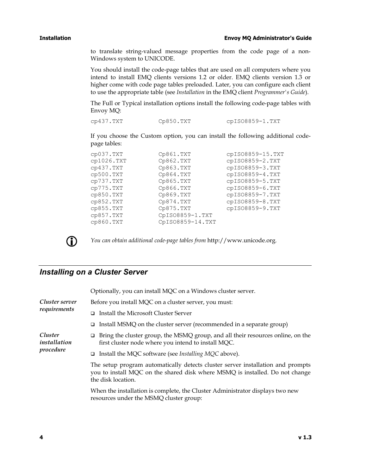<span id="page-9-0"></span>to translate string-valued message properties from the code page of a non-Windows system to UNICODE.

You should install the code-page tables that are used on all computers where you intend to install EMQ clients versions 1.2 or older. EMQ clients version 1.3 or higher come with code page tables preloaded. Later, you can configure each client to use the appropriate table (see *Installation* in the EMQ client *Programmer's Guide*).

The Full or Typical installation options install the following code-page tables with Envoy MQ:

cp437.TXT Cp850.TXT cpISO8859-1.TXT

If you choose the Custom option, you can install the following additional codepage tables:

| cp037.TXT  | Cp861.TXT        | cpIS08859-15.TXT |
|------------|------------------|------------------|
| cp1026.TXT | Cp862.TXT        | cpISO8859-2.TXT  |
| cp437.TXT  | Cp863.TXT        | cpISO8859-3.TXT  |
| cp500.TXT  | Cp864.TXT        | cpISO8859-4.TXT  |
| cp737.TXT  | Cp865.TXT        | cpISO8859-5.TXT  |
| cp775.TXT  | Cp866.TXT        | cpISO8859-6.TXT  |
| cp850.TXT  | Cp869.TXT        | cpISO8859-7.TXT  |
| cp852.TXT  | Cp874.TXT        | cpISO8859-8.TXT  |
| cp855.TXT  | Cp875.TXT        | cpISO8859-9.TXT  |
| cp857.TXT  | CpISO8859-1.TXT  |                  |
| CP860. TXT | CpISO8859-14.TXT |                  |
|            |                  |                  |



L *You can obtain additional code-page tables from* http://www.unicode.org*.* 

### *Installing on a Cluster Server*

|                         | Optionally, you can install MQC on a Windows cluster server.                                                                                                                          |  |  |
|-------------------------|---------------------------------------------------------------------------------------------------------------------------------------------------------------------------------------|--|--|
| Cluster server          | Before you install MQC on a cluster server, you must:                                                                                                                                 |  |  |
| requirements            | □ Install the Microsoft Cluster Server                                                                                                                                                |  |  |
|                         | Install MSMQ on the cluster server (recommended in a separate group)                                                                                                                  |  |  |
| Cluster<br>installation | Bring the cluster group, the MSMQ group, and all their resources online, on the<br>□<br>first cluster node where you intend to install MQC.                                           |  |  |
| procedure               | □ Install the MQC software (see <i>Installing MQC</i> above).                                                                                                                         |  |  |
|                         | The setup program automatically detects cluster server installation and prompts<br>you to install MQC on the shared disk where MSMQ is installed. Do not change<br>the disk location. |  |  |
|                         | When the installation is complete, the Cluster Administrator displays two new<br>resources under the MSMQ cluster group:                                                              |  |  |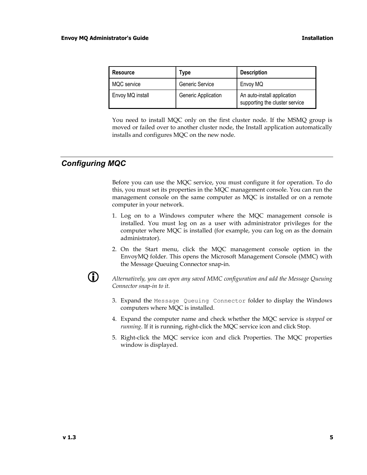| <b>Resource</b>  | Type                | <b>Description</b>                                            |
|------------------|---------------------|---------------------------------------------------------------|
| MQC service      | Generic Service     | Envoy MQ                                                      |
| Envoy MQ install | Generic Application | An auto-install application<br>supporting the cluster service |

You need to install MQC only on the first cluster node. If the MSMQ group is moved or failed over to another cluster node, the Install application automatically installs and configures MQC on the new node.

### *Configuring MQC*

Before you can use the MQC service, you must configure it for operation. To do this, you must set its properties in the MQC management console. You can run the management console on the same computer as MQC is installed or on a remote computer in your network.

- 1. Log on to a Windows computer where the MQC management console is installed. You must log on as a user with administrator privileges for the computer where MQC is installed (for example, you can log on as the domain administrator).
- 2. On the Start menu, click the MQC management console option in the EnvoyMQ folder. This opens the Microsoft Management Console (MMC) with the Message Queuing Connector snap-in.



L *Alternatively, you can open any saved MMC configuration and add the Message Queuing Connector snap-in to it.* 

- 3. Expand the Message Queuing Connector folder to display the Windows computers where MQC is installed.
- 4. Expand the computer name and check whether the MQC service is *stopped* or *running*. If it is running, right-click the MQC service icon and click Stop.
- 5. Right-click the MQC service icon and click Properties. The MQC properties window is displayed.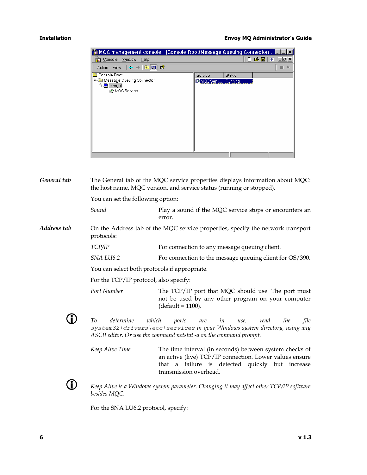#### <span id="page-11-0"></span>**Installation Envoy MQ Administrator's Guide**

| MQC management console - [Console Root Message Queuing Connector            |                   |               | l×l                             |
|-----------------------------------------------------------------------------|-------------------|---------------|---------------------------------|
| Тŵ<br>Console<br>Window<br>Help                                             |                   |               | $D \ncong \blacksquare$<br>画上副对 |
| $\Leftrightarrow \ \rightarrow 2 \text{E} \text{E} \text{E}$<br>Action View |                   |               |                                 |
| Console Root                                                                | Service           | <b>Status</b> |                                 |
| Message Queuing Connector<br>Ėŀ<br>白 <b>旦</b> margot<br>MQC Service         | <b>QMOC Servi</b> | Running       |                                 |
|                                                                             |                   |               |                                 |

The General tab of the MQC service properties displays information about MQC: the host name, MQC version, and service status (running or stopped). You can set the following option: *Sound* Play a sound if the MQC service stops or encounters an error. On the Address tab of the MQC service properties, specify the network transport protocols: *General tab Address tab TCP/IP* For connection to any message queuing client. *SNA LU6.2* For connection to the message queuing client for OS/390. You can select both protocols if appropriate. For the TCP/IP protocol, also specify: *Port Number* The TCP/IP port that MQC should use. The port must not be used by any other program on your computer (default = 1100). L *To determine which ports are in use, read the file system32\drivers\etc\services in your Windows system directory, using any ASCII editor. Or use the command netstat -a on the command prompt. Keep Alive Time* The time interval (in seconds) between system checks of an active (live) TCP/IP connection. Lower values ensure that a failure is detected quickly but increase transmission overhead. L *Keep Alive is a Windows system parameter. Changing it may affect other TCP/IP software besides MQC.* 

For the SNA LU6.2 protocol, specify: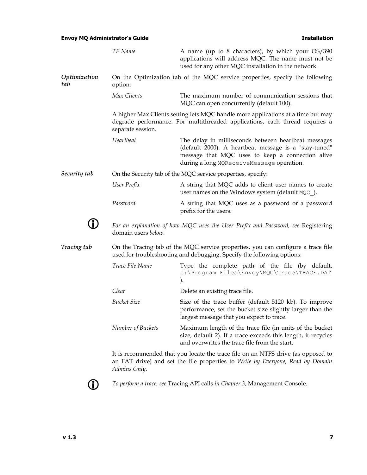### **Envoy MQ Administrator's Guide Installation Installation**

|                     | TP Name                                                                                                                                                    | A name (up to 8 characters), by which your OS/390<br>applications will address MQC. The name must not be<br>used for any other MQC installation in the network.                                                |  |  |
|---------------------|------------------------------------------------------------------------------------------------------------------------------------------------------------|----------------------------------------------------------------------------------------------------------------------------------------------------------------------------------------------------------------|--|--|
| Optimization<br>tab | option:                                                                                                                                                    | On the Optimization tab of the MQC service properties, specify the following                                                                                                                                   |  |  |
|                     | Max Clients                                                                                                                                                | The maximum number of communication sessions that<br>MQC can open concurrently (default 100).                                                                                                                  |  |  |
|                     | separate session.                                                                                                                                          | A higher Max Clients setting lets MQC handle more applications at a time but may<br>degrade performance. For multithreaded applications, each thread requires a                                                |  |  |
|                     | Heartbeat                                                                                                                                                  | The delay in milliseconds between heartbeat messages<br>(default 2000). A heartbeat message is a "stay-tuned"<br>message that MQC uses to keep a connection alive<br>during a long MQReceiveMessage operation. |  |  |
| Security tab        | On the Security tab of the MQC service properties, specify:                                                                                                |                                                                                                                                                                                                                |  |  |
|                     | User Prefix                                                                                                                                                | A string that MQC adds to client user names to create<br>user names on the Windows system (default MQC).                                                                                                       |  |  |
|                     | Password                                                                                                                                                   | A string that MQC uses as a password or a password<br>prefix for the users.                                                                                                                                    |  |  |
|                     | domain users below.                                                                                                                                        | For an explanation of how MQC uses the User Prefix and Password, see Registering                                                                                                                               |  |  |
| Tracing tab         | On the Tracing tab of the MQC service properties, you can configure a trace file<br>used for troubleshooting and debugging. Specify the following options: |                                                                                                                                                                                                                |  |  |
|                     | Trace File Name                                                                                                                                            | Type the complete path of the file (by default,<br>c:\Program Files\Envoy\MQC\Trace\TRACE.DAT<br>$\mathcal{L}$                                                                                                 |  |  |
|                     | Clear                                                                                                                                                      | Delete an existing trace file.                                                                                                                                                                                 |  |  |
|                     | <b>Bucket Size</b>                                                                                                                                         | Size of the trace buffer (default 5120 kb). To improve<br>performance, set the bucket size slightly larger than the<br>largest message that you expect to trace.                                               |  |  |
|                     | Number of Buckets                                                                                                                                          | Maximum length of the trace file (in units of the bucket<br>size, default 2). If a trace exceeds this length, it recycles<br>and overwrites the trace file from the start.                                     |  |  |
|                     | Admins Only.                                                                                                                                               | It is recommended that you locate the trace file on an NTFS drive (as opposed to<br>an FAT drive) and set the file properties to Write by Everyone, Read by Domain                                             |  |  |
|                     |                                                                                                                                                            |                                                                                                                                                                                                                |  |  |



L *To perform a trace, see* Tracing API calls *in Chapter 3,* Management Console*.*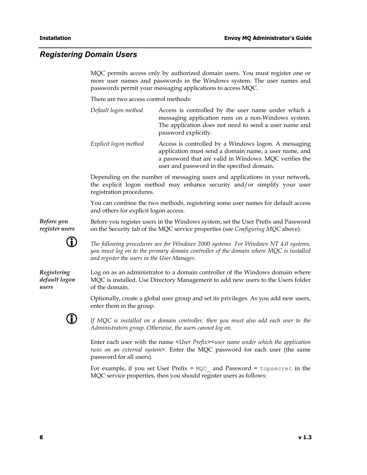#### *Registering Domain Users*

MQC permits access only by authorized domain users. You must register one or more user names and passwords in the Windows system. The user names and passwords permit your messaging applications to access MQC.

There are two access control methods:

| Default logon method  | Access is controlled by the user name under which a<br>messaging application runs on a non-Windows system.<br>The application does not need to send a user name and<br>password explicitly.                           |
|-----------------------|-----------------------------------------------------------------------------------------------------------------------------------------------------------------------------------------------------------------------|
| Explicit logon method | Access is controlled by a Windows logon. A messaging<br>application must send a domain name, a user name, and<br>a password that are valid in Windows. MQC verifies the<br>user and password in the specified domain. |

Depending on the number of messaging users and applications in your network, the explicit logon method may enhance security and/or simplify your user registration procedures.

You can combine the two methods, registering some user names for default access and others for explicit logon access.

*Before you register users*  Before you register users in the Windows system, set the User Prefix and Password on the Security tab of the MQC service properties (see *Configuring MQC* above).



L *The following procedures are for Windows 2000 systems. For Windows NT 4.0 systems, you must log on to the primary domain controller of the domain where MQC is installed and register the users in the User Manager.* 

*Registering default logon users* 

Log on as an administrator to a domain controller of the Windows domain where MQC is installed. Use Directory Management to add new users to the Users folder of the domain.

Optionally, create a global user group and set its privileges. As you add new users, enter them in the group.



If MQC is installed on a domain controller, then you must also add each user to the *Administrators group. Otherwise, the users cannot log on.* 

Enter each user with the name *<User Prefix><user name under which the application runs on an external system>*. Enter the MQC password for each user (the same password for all users).

For example, if you set User Prefix =  $MQC$  and Password = topsecret in the MQC service properties, then you should register users as follows: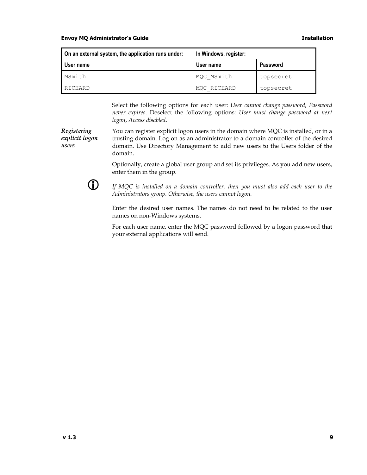#### <span id="page-14-0"></span>**Envoy MQ Administrator's Guide Installation**

| On an external system, the application runs under: | In Windows, register: |                 |  |
|----------------------------------------------------|-----------------------|-----------------|--|
| User name                                          | User name             | <b>Password</b> |  |
| MSmith                                             | MQC MSmith            | topsecret       |  |
| RICHARD                                            | MQC RICHARD           | topsecret       |  |

Select the following options for each user: *User cannot change password*, *Password never expires*. Deselect the following options: *User must change password at next logon*, *Access disabled*.

*Registering explicit logon users*  You can register explicit logon users in the domain where MQC is installed, or in a trusting domain. Log on as an administrator to a domain controller of the desired domain. Use Directory Management to add new users to the Users folder of the domain.

> Optionally, create a global user group and set its privileges. As you add new users, enter them in the group.



**CD** If MQC is installed on a domain controller, then you must also add each user to the *Administrators group. Otherwise, the users cannot logon.*

Enter the desired user names. The names do not need to be related to the user names on non-Windows systems.

For each user name, enter the MQC password followed by a logon password that your external applications will send.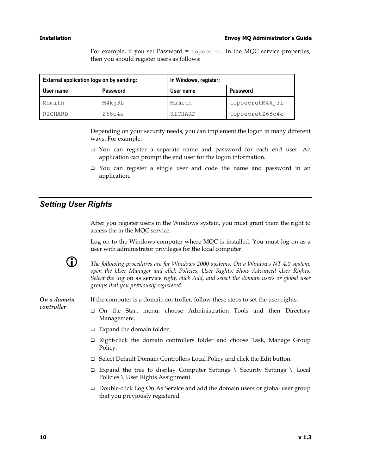#### **Installation Envoy MQ Administrator's Guide**

For example, if you set Password = topsecret in the MQC service properties, then you should register users as follows:

| External application logs on by sending: |                 | In Windows, register: |                 |
|------------------------------------------|-----------------|-----------------------|-----------------|
| User name                                | <b>Password</b> | User name             | <b>Password</b> |
| Msmith                                   | M4kj3L          | Msmith                | topsecretM4kj3L |
| RICHARD                                  | Z68c4e          | RICHARD               | topsecretZ68c4e |

Depending on your security needs, you can implement the logon in many different ways. For example:

- You can register a separate name and password for each end user. An application can prompt the end user for the logon information.
- □ You can register a single user and code the name and password in an application.

#### *Setting User Rights*

After you register users in the Windows system, you must grant them the right to access the in the MQC service.

Log on to the Windows computer where MQC is installed. You must log on as a user with administrator privileges for the local computer.



**LERGTH** The following procedures are for Windows 2000 systems. On a Windows NT 4.0 system, *open the User Manager and click Policies, User Rights, Show Advanced User Rights. Select the* log on as service *right, click Add, and select the domain users or global user groups that you previously registered.* 

*On a domain controller* 

If the computer is a domain controller, follow these steps to set the user rights:

- On the Start menu, choose Administration Tools and then Directory Management.
- $\Box$  Expand the domain folder.
- Right-click the domain controllers folder and choose Task, Manage Group Policy.
- □ Select Default Domain Controllers Local Policy and click the Edit button.
- $\Box$  Expand the tree to display Computer Settings \ Security Settings \ Local Policies \ User Rights Assignment.
- Double-click Log On As Service and add the domain users or global user group that you previously registered.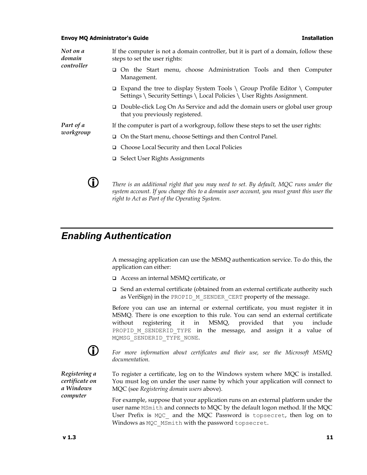#### <span id="page-16-0"></span>**Envoy MQ Administrator's Guide Installation**

*Not on a domain controller*  If the computer is not a domain controller, but it is part of a domain, follow these steps to set the user rights:

- On the Start menu, choose Administration Tools and then Computer Management.
- $\Box$  Expand the tree to display System Tools \ Group Profile Editor \ Computer Settings \ Security Settings \ Local Policies \ User Rights Assignment.
- Double-click Log On As Service and add the domain users or global user group that you previously registered.

*Part of a workgroup* 

- If the computer is part of a workgroup, follow these steps to set the user rights:
- On the Start menu, choose Settings and then Control Panel.
- Choose Local Security and then Local Policies
- □ Select User Rights Assignments



**CD** There is an additional right that you may need to set. By default, MQC runs under the *system account. If you change this to a domain user account, you must grant this user the right to Act as Part of the Operating System.*

## *Enabling Authentication*

A messaging application can use the MSMQ authentication service. To do this, the application can either:

- Access an internal MSMQ certificate, or
- Send an external certificate (obtained from an external certificate authority such as VeriSign) in the PROPID M\_SENDER\_CERT property of the message.

Before you can use an internal or external certificate, you must register it in MSMQ. There is one exception to this rule. You can send an external certificate without registering it in MSMQ, provided that you include PROPID M SENDERID TYPE in the message, and assign it a value of MQMSG\_SENDERID\_TYPE\_NONE.



L *For more information about certificates and their use, see the Microsoft MSMQ documentation.*

*Registering a certificate on a Windows computer* 

To register a certificate, log on to the Windows system where MQC is installed. You must log on under the user name by which your application will connect to MQC (see *Registering domain users* above).

For example, suppose that your application runs on an external platform under the user name MSmith and connects to MQC by the default logon method. If the MQC User Prefix is MQC and the MQC Password is topsecret, then log on to Windows as MQC MSmith with the password topsecret.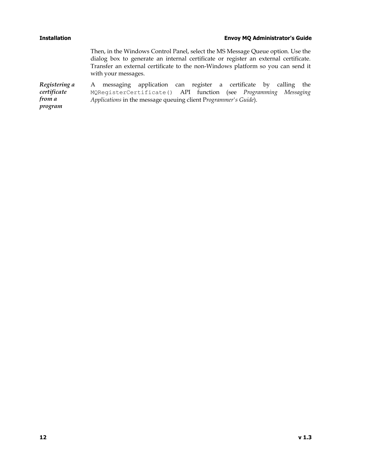#### <span id="page-17-0"></span>**Installation Envoy MQ Administrator's Guide**

Then, in the Windows Control Panel, select the MS Message Queue option. Use the dialog box to generate an internal certificate or register an external certificate. Transfer an external certificate to the non-Windows platform so you can send it with your messages.

*Registering a certificate from a program*  A messaging application can register a certificate by calling the MQRegisterCertificate() API function (see *Programming Messaging Applications* in the message queuing client P*rogrammer's Guide*).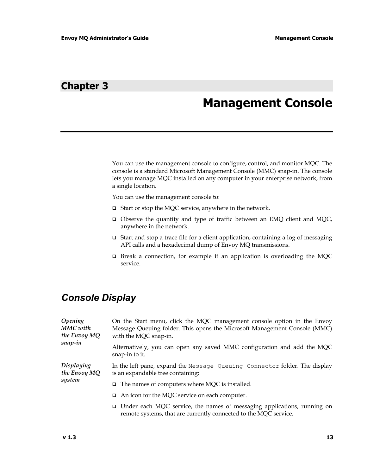## **Chapter 3**

# **Management Console**

You can use the management console to configure, control, and monitor MQC. The console is a standard Microsoft Management Console (MMC) snap-in. The console lets you manage MQC installed on any computer in your enterprise network, from a single location.

You can use the management console to:

- □ Start or stop the MQC service, anywhere in the network.
- Observe the quantity and type of traffic between an EMQ client and MQC, anywhere in the network.
- $\Box$  Start and stop a trace file for a client application, containing a log of messaging API calls and a hexadecimal dump of Envoy MQ transmissions.
- □ Break a connection, for example if an application is overloading the MQC service.

## *Console Display*

| <i><b>Opening</b></i><br>MMC with<br>the Envoy MQ | On the Start menu, click the MQC management console option in the Envoy<br>Message Queuing folder. This opens the Microsoft Management Console (MMC)<br>with the MQC snap-in. |  |
|---------------------------------------------------|-------------------------------------------------------------------------------------------------------------------------------------------------------------------------------|--|
| snap-in                                           | Alternatively, you can open any saved MMC configuration and add the MQC<br>snap-in to it.                                                                                     |  |
| Displaying<br>the Envoy MQ<br>system              | In the left pane, expand the Message Queuing Connector folder. The display<br>is an expandable tree containing:                                                               |  |
|                                                   | $\Box$ The names of computers where MQC is installed.                                                                                                                         |  |
|                                                   | $\Box$ An icon for the MQC service on each computer.                                                                                                                          |  |
|                                                   | $\Box$ Under each MQC service, the names of messaging applications, running on<br>remote systems, that are currently connected to the MQC service.                            |  |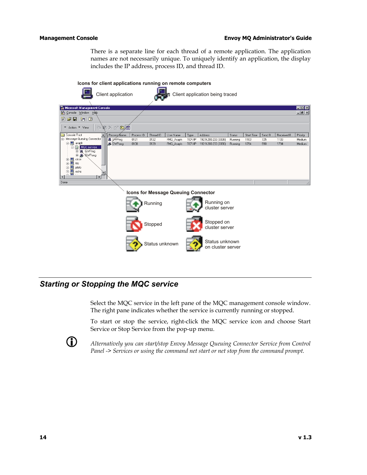#### <span id="page-19-0"></span>**Management Console Envoy MQ Administrator's Guide Envoy MQ Administrator's Guide**

There is a separate line for each thread of a remote application. The application names are not necessarily unique. To uniquely identify an application, the display includes the IP address, process ID, and thread ID.



### *Starting or Stopping the MQC service*

Select the MQC service in the left pane of the MQC management console window. The right pane indicates whether the service is currently running or stopped.

To start or stop the service, right-click the MQC service icon and choose Start Service or Stop Service from the pop-up menu.



L *Alternatively you can start/stop Envoy Message Queuing Connector Service from Control Panel -> Services or using the command net start or net stop from the command prompt.*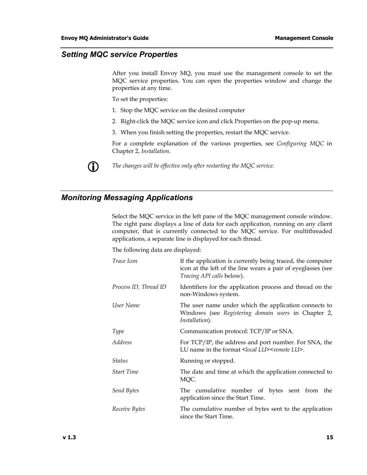### <span id="page-20-0"></span>*Setting MQC service Properties*

After you install Envoy MQ, you must use the management console to set the MQC service properties. You can open the properties window and change the properties at any time.

To set the properties:

- 1. Stop the MQC service on the desired computer
- 2. Right-click the MQC service icon and click Properties on the pop-up menu.
- 3. When you finish setting the properties, restart the MQC service.

For a complete explanation of the various properties, see *Configuring MQC* in Chapter 2, *Installation*.



L *The changes will be effective only after restarting the MQC service.* 

### *Monitoring Messaging Applications*

Select the MQC service in the left pane of the MQC management console window. The right pane displays a line of data for each application, running on any client computer, that is currently connected to the MQC service. For multithreaded applications, a separate line is displayed for each thread.

The following data are displayed:

| Trace Icon            | If the application is currently being traced, the computer<br>icon at the left of the line wears a pair of eyeglasses (see<br>Tracing API calls below). |  |
|-----------------------|---------------------------------------------------------------------------------------------------------------------------------------------------------|--|
| Process ID, Thread ID | Identifiers for the application process and thread on the<br>non-Windows system.                                                                        |  |
| User Name             | The user name under which the application connects to<br>Windows (see Registering domain users in Chapter 2,<br>Installation).                          |  |
| <b>Type</b>           | Communication protocol: TCP/IP or SNA.                                                                                                                  |  |
| <i>Address</i>        | For TCP/IP, the address and port number. For SNA, the<br>LU name in the format <local lu=""><remote lu="">.</remote></local>                            |  |
| Status                | Running or stopped.                                                                                                                                     |  |
| <b>Start Time</b>     | The date and time at which the application connected to<br>MQC.                                                                                         |  |
| Send Bytes            | The cumulative number of bytes sent from the<br>application since the Start Time.                                                                       |  |
| Receive Bytes         | The cumulative number of bytes sent to the application<br>since the Start Time.                                                                         |  |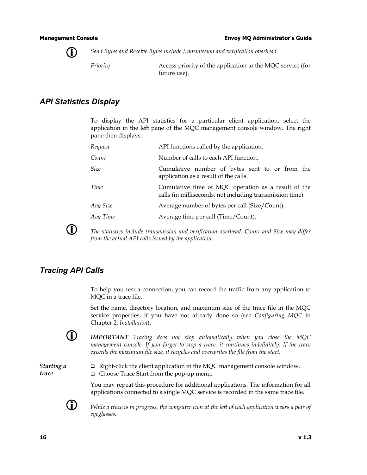<span id="page-21-0"></span>

L *Send Bytes and Receive Bytes include transmission and verification overhead.* 

*Priority* Access priority of the application to the MQC service (for future use).

### *API Statistics Display*

To display the API statistics for a particular client application, select the application in the left pane of the MQC management console window. The right pane then displays:

| Request     | API functions called by the application.                                                                         |  |  |
|-------------|------------------------------------------------------------------------------------------------------------------|--|--|
| Count       | Number of calls to each API function.                                                                            |  |  |
| <i>Size</i> | Cumulative number of bytes sent to or from the<br>application as a result of the calls.                          |  |  |
| Time        | Cumulative time of MQC operation as a result of the<br>calls (in milliseconds, not including transmission time). |  |  |
| Avg Size    | Average number of bytes per call (Size/Count).                                                                   |  |  |
| Avg Time    | Average time per call (Time/Count).                                                                              |  |  |
|             |                                                                                                                  |  |  |

**CD** The statistics include transmission and verification overhead. Count and Size may differ *from the actual API calls issued by the application.* 

#### *Tracing API Calls*

To help you test a connection, you can record the traffic from any application to MQC in a trace file.

Set the name, directory location, and maximum size of the trace file in the MQC service properties, if you have not already done so (see *Configuring MQC* in Chapter 2, *Installation*).

L *IMPORTANT Tracing does not stop automatically when you close the MQC management console. If you forget to stop a trace, it continues indefinitely. If the trace exceeds the maximum file size, it recycles and overwrites the file from the start.* 

*Starting a trace* 

□ Right-click the client application in the MQC management console window. □ Choose Trace Start from the pop-up menu.

You may repeat this procedure for additional applications. The information for all applications connected to a single MQC service is recorded in the same trace file.



L *While a trace is in progress, the computer icon at the left of each application wears a pair of eyeglasses.*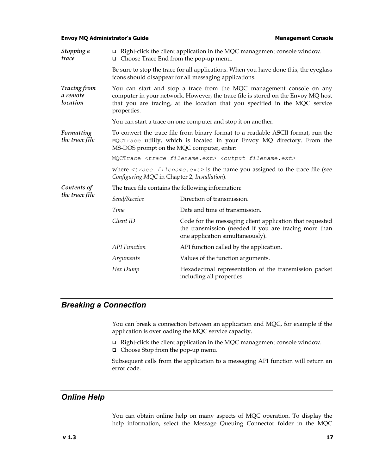#### <span id="page-22-0"></span>**Envoy MQ Administrator's Guide Management Console Management Console Management Console**

| Stopping a<br>trace                         | $\Box$ Right-click the client application in the MQC management console window.<br>$\Box$ Choose Trace End from the pop-up menu.                                                                                                                        |                                                                                                                                                       |  |  |
|---------------------------------------------|---------------------------------------------------------------------------------------------------------------------------------------------------------------------------------------------------------------------------------------------------------|-------------------------------------------------------------------------------------------------------------------------------------------------------|--|--|
|                                             | Be sure to stop the trace for all applications. When you have done this, the eyeglass<br>icons should disappear for all messaging applications.                                                                                                         |                                                                                                                                                       |  |  |
| <b>Tracing from</b><br>a remote<br>location | You can start and stop a trace from the MQC management console on any<br>computer in your network. However, the trace file is stored on the Envoy MQ host<br>that you are tracing, at the location that you specified in the MQC service<br>properties. |                                                                                                                                                       |  |  |
|                                             |                                                                                                                                                                                                                                                         | You can start a trace on one computer and stop it on another.                                                                                         |  |  |
| Formatting<br>the trace file                | To convert the trace file from binary format to a readable ASCII format, run the<br>MQCTrace utility, which is located in your Envoy MQ directory. From the<br>MS-DOS prompt on the MQC computer, enter:                                                |                                                                                                                                                       |  |  |
|                                             | MQCTrace <trace filename.ext=""> <output filename.ext=""></output></trace>                                                                                                                                                                              |                                                                                                                                                       |  |  |
|                                             | where $\langle\text{trace}\rangle$ filename. $\text{ext}$ is the name you assigned to the trace file (see<br>Configuring MQC in Chapter 2, Installation).                                                                                               |                                                                                                                                                       |  |  |
| Contents of                                 | The trace file contains the following information:                                                                                                                                                                                                      |                                                                                                                                                       |  |  |
| the trace file                              | Send/Receive                                                                                                                                                                                                                                            | Direction of transmission.                                                                                                                            |  |  |
|                                             | Time                                                                                                                                                                                                                                                    | Date and time of transmission.                                                                                                                        |  |  |
|                                             | Client ID                                                                                                                                                                                                                                               | Code for the messaging client application that requested<br>the transmission (needed if you are tracing more than<br>one application simultaneously). |  |  |
|                                             | <b>API</b> Function                                                                                                                                                                                                                                     | API function called by the application.                                                                                                               |  |  |
|                                             | Arguments                                                                                                                                                                                                                                               | Values of the function arguments.                                                                                                                     |  |  |
|                                             | Hex Dump                                                                                                                                                                                                                                                | Hexadecimal representation of the transmission packet<br>including all properties.                                                                    |  |  |

### *Breaking a Connection*

You can break a connection between an application and MQC, for example if the application is overloading the MQC service capacity.

- □ Right-click the client application in the MQC management console window.
- □ Choose Stop from the pop-up menu.

Subsequent calls from the application to a messaging API function will return an error code.

## *Online Help*

You can obtain online help on many aspects of MQC operation. To display the help information, select the Message Queuing Connector folder in the MQC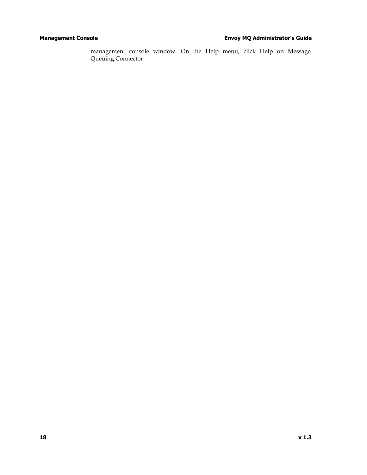<span id="page-23-0"></span>management console window. On the Help menu, click Help on Message Queuing.Connector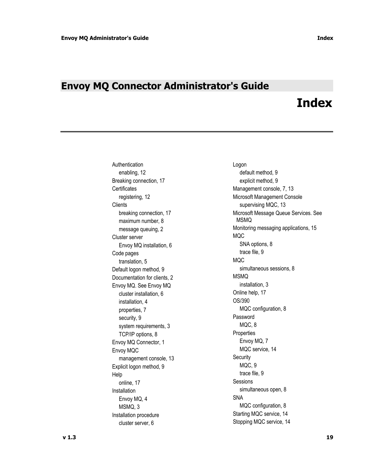# <span id="page-24-0"></span>**Envoy MQ Connector Administrator's Guide**

# **Index**

Authentication **Logon** enabling, 12 default method, 9 Breaking connection, 17 explicit method, 9 Certificates Management console, 7, 13 Clients Supervising MQC, 13 breaking connection, 17 maximum number, 8 Cluster server and the server of the server of the server server and the server of the server of the server of the server of the server of the server of the server of the server of the server of the server of the server of Envoy MQ installation, 6 SNA options, 8 Code pages trace file, 9 translation, 5 MQC Default logon method, 9 simultaneous sessions, 8 Documentation for clients, 2 MSMQ Envoy MQ. See Envoy MQ installation, 3 cluster installation, 6 cluster installation, 6 cluster installation, 6 cluster installation 4 control of  $O(s/390)$ installation, 4 properties, 7 MQC configuration, 8 security, 9 and 1990 and 1990 and 1990 and 1990 and 1990 and 1990 and 1990 and 1990 and 1990 and 1990 and 1990 system requirements, 3 MQC, 8 TCP/IP options, 8 Properties Envoy MQ Connector, 1 Envoy MQ, 7 Envoy MQC Service, 14 management console, 13 Security Explicit logon method, 9 thomas MQC, 9 Help trace file, 9 online, 17 Sessions Installation **Installation Installation Installation** Envoy MQ, 4 MSMQ, 3 MSMQ, 3 Installation procedure **Installation** procedure **Installation** procedure

registering, 12 and 12 million of Microsoft Management Console Microsoft Message Queue Services. See MSMQ message queuing, 2 and the Monitoring messaging applications, 15 cluster server, 6 Stopping MQC service, 14